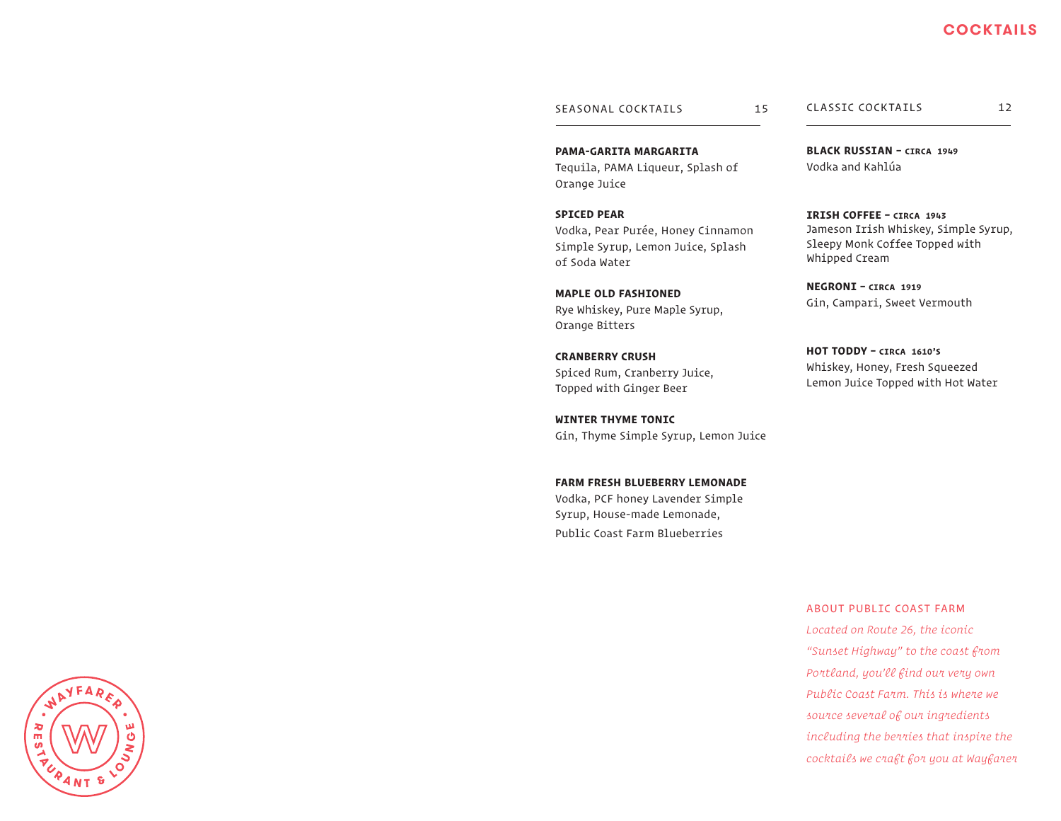#### SEASONAL COCKTAILS 15

**PAMA-GARITA MARGARITA** Tequila, PAMA Liqueur, Splash of

Vodka, Pear Purée, Honey Cinnamon Simple Syrup, Lemon Juice, Splash

Orange Juice

**SPICED PEAR**

of Soda Water

Orange Bitters

**CRANBERRY CRUSH**

**WINTER THYME TONIC**

**MAPLE OLD FASHIONED**

Rye Whiskey, Pure Maple Syrup,

Spiced Rum, Cranberry Juice, Topped with Ginger Beer

Gin, Thyme Simple Syrup, Lemon Juice

**FARM FRESH BLUEBERRY LEMONADE** Vodka, PCF honey Lavender Simple Syrup, House-made Lemonade, Public Coast Farm Blueberries

CLASSIC COCKTAILS 12

**BLACK RUSSIAN – CIRCA 1949** Vodka and Kahlúa

**IRISH COFFEE – CIRCA 1943** Jameson Irish Whiskey, Simple Syrup, Sleepy Monk Coffee Topped with Whipped Cream

**NEGRONI – CIRCA 1919** Gin, Campari, Sweet Vermouth

**HOT TODDY – CIRCA 1610'S** Whiskey, Honey, Fresh Squeezed Lemon Juice Topped with Hot Water

ABOUT PUBLIC COAST FARM *Located on Route 26, the iconic "Sunset Highway" to the coast from Portland, you'll find our very own Public Coast Farm. This is where we source several of our ingredients including the berries that inspire the cocktails we craft for you at Wayfarer*



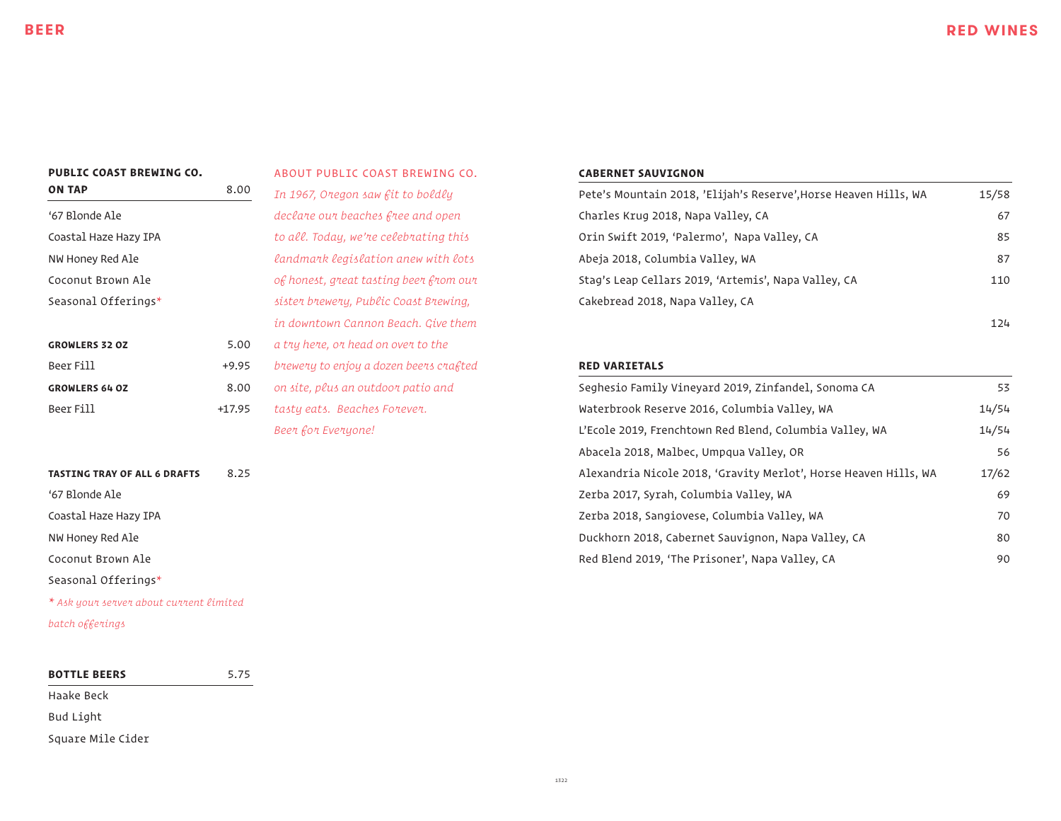## **PUBLIC COAST BREWING CO.**

**ON TAP** 8.00

| '67 Blonde Ale        |         |
|-----------------------|---------|
| Coastal Haze Hazy IPA |         |
| NW Honey Red Ale      |         |
| Coconut Brown Ale     |         |
| Seasonal Offerings*   |         |
|                       |         |
| <b>GROWLERS 32 OZ</b> | 5.00    |
| Beer Fill             | $+9.95$ |
| <b>GROWLERS 64 OZ</b> | 8.00    |
| Beer Fill             | +17.95  |

# **TASTING TRAY OF ALL 6 DRAFTS 8.25** '67 Blonde Ale Coastal Haze Hazy IPA NW Honey Red Ale

Coconut Brown Ale

Seasonal Offerings*\**

*\* Ask your server about current limited batch offerings*

## **BOTTLE BEERS** 5.75 Haake Beck

Bud Light

Square Mile Cider

ABOUT PUBLIC COAST BREWING CO. *In 1967, Oregon saw fit to boldly declare our beaches free and open to all. Today, we're celebrating this landmark legislation anew with lots of honest, great tasting beer from our sister brewery, Public Coast Brewing, in downtown Cannon Beach. Give them a try here, or head on over to the brewery to enjoy a dozen beers crafted on site, plus an outdoor patio and tasty eats. Beaches Forever.* 

*Beer for Everyone!*

#### **CABERNET SAUVIGNON**

| Pete's Mountain 2018, 'Elijah's Reserve', Horse Heaven Hills, WA | 15/58 |
|------------------------------------------------------------------|-------|
| Charles Krug 2018, Napa Valley, CA                               | 67    |
| Orin Swift 2019, 'Palermo', Napa Valley, CA                      | 85    |
| Abeja 2018, Columbia Valley, WA                                  | 87    |
| Stag's Leap Cellars 2019, 'Artemis', Napa Valley, CA             | 110   |
| Cakebread 2018, Napa Valley, CA                                  |       |
|                                                                  | 124   |

### **RED VARIETALS**

| Seghesio Family Vineyard 2019, Zinfandel, Sonoma CA              | 53    |
|------------------------------------------------------------------|-------|
| Waterbrook Reserve 2016, Columbia Valley, WA                     | 14/54 |
| L'Ecole 2019, Frenchtown Red Blend, Columbia Valley, WA          | 14/54 |
| Abacela 2018, Malbec, Umpgua Valley, OR                          | 56    |
| Alexandria Nicole 2018, 'Gravity Merlot', Horse Heaven Hills, WA | 17/62 |
| Zerba 2017, Syrah, Columbia Valley, WA                           | 69    |
| Zerba 2018, Sangiovese, Columbia Valley, WA                      | 70    |
| Duckhorn 2018, Cabernet Sauvignon, Napa Valley, CA               | 80    |
| Red Blend 2019, 'The Prisoner', Napa Valley, CA                  | 90    |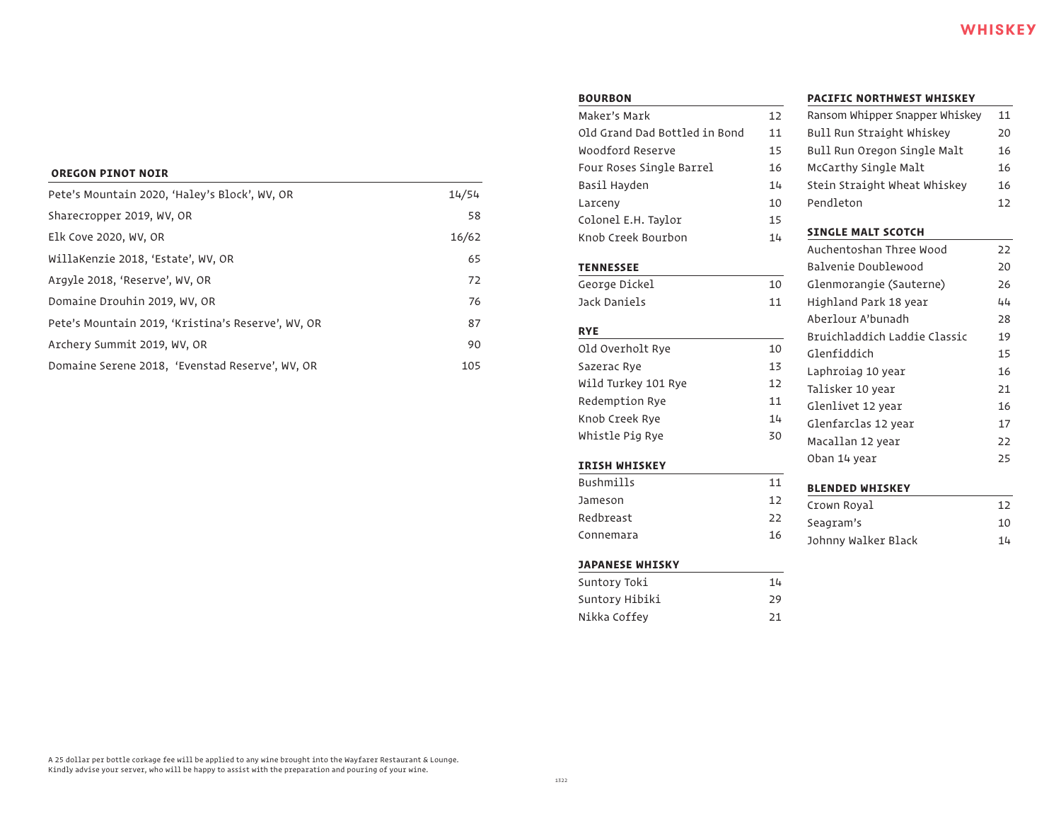#### **BOU**

| Pete's Mountain 2020, 'Haley's Block', WV, OR      | 14/54 |
|----------------------------------------------------|-------|
| Sharecropper 2019, WV, OR                          | 58    |
| Elk Cove 2020, WV, OR                              | 16/62 |
| WillaKenzie 2018, 'Estate', WV, OR                 | 65    |
| Argyle 2018, 'Reserve', WV, OR                     | 72    |
| Domaine Drouhin 2019, WV, OR                       | 76    |
| Pete's Mountain 2019, 'Kristina's Reserve', WV, OR | 87    |
| Archery Summit 2019, WV, OR                        | 90    |
| Domaine Serene 2018, 'Evenstad Reserve', WV, OR    | 105   |

| <b>BOURBON</b>                |    |
|-------------------------------|----|
| Maker's Mark                  | 12 |
| Old Grand Dad Bottled in Bond | 11 |
| Woodford Reserve              | 15 |
| Four Roses Single Barrel      | 16 |
| Basil Hayden                  | 14 |
| Larceny                       | 10 |
| Colonel E.H. Taylor           | 15 |
| Knob Creek Bourbon            | 14 |
| <b>TENNESSEE</b>              |    |
| George Dickel                 | 10 |
| Jack Daniels                  | 11 |
| <b>RYE</b>                    |    |
| Old Overholt Rye              | 10 |
| Sazerac Rye                   | 13 |
| Wild Turkey 101 Rye           | 12 |
| Redemption Rye                | 11 |
| Knob Creek Rye                | 14 |
| Whistle Pig Rye               | 30 |
| <b>IRISH WHISKEY</b>          |    |
| <b>Bushmills</b>              | 11 |
| Jameson                       | 12 |
| Redbreast                     | 22 |
| Connemara                     | 16 |
| <b>JAPANESE WHISKY</b>        |    |
| Suntory Toki                  | 14 |
| Suntory Hibiki                | 29 |
| Nikka Coffey                  | 21 |

#### **PACIFIC NORTHWEST WHISKEY**

| Ransom Whipper Snapper Whiskey | 11 |
|--------------------------------|----|
| Bull Run Straight Whiskey      | 20 |
| Bull Run Oregon Single Malt    | 16 |
| McCarthy Single Malt           | 16 |
| Stein Straight Wheat Whiskey   | 16 |
| Pendleton                      | 12 |
| <b>SINGLE MALT SCOTCH</b>      |    |
| Auchentoshan Three Wood        | 22 |
| Balvenie Doublewood            | 20 |
| Glenmorangie (Sauterne)        | 26 |
| Highland Park 18 year          | 44 |
| Aberlour A'bunadh              | 28 |
| Bruichladdich Laddie Classic   | 19 |
| Glenfiddich                    | 15 |
| Laphroiag 10 year              | 16 |
| Talisker 10 year               | 21 |
| Glenlivet 12 year              | 16 |
| Glenfarclas 12 year            | 17 |
| Macallan 12 year               | 22 |
| Oban 14 year                   | 25 |
|                                |    |

#### **BLENDED WHISKEY**

| Crown Royal         | 12 |
|---------------------|----|
| Seagram's           | 10 |
| Johnny Walker Black | 14 |

A 25 dollar per bottle corkage fee will be applied to any wine brought into the Wayfarer Restaurant & Lounge. Kindly advise your server, who will be happy to assist with the preparation and pouring of your wine.